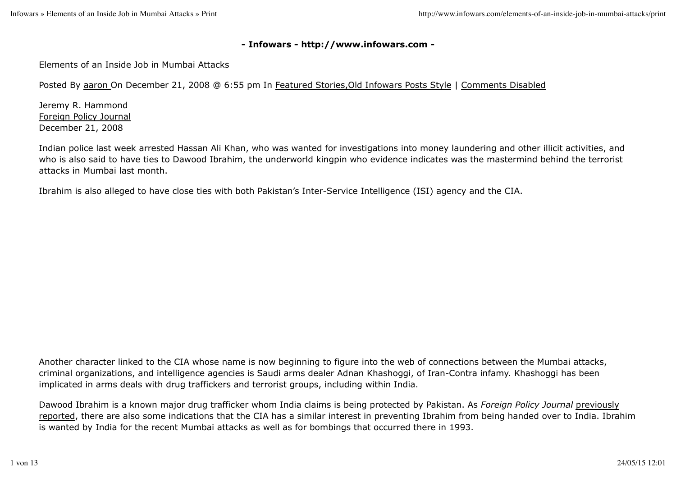#### **- Infowars - http://www.infowars.com -**

Elements of an Inside Job in Mumbai Attacks

Posted By aaron On December 21, 2008 @ 6:55 pm In Featured Stories,Old Infowars Posts Style | Comments Disabled

Jeremy R. Hammond Foreign Policy Journal December 21, 2008

Indian police last week arrested Hassan Ali Khan, who was wanted for investigations into money laundering and other illicit activities, and who is also said to have ties to Dawood Ibrahim, the underworld kingpin who evidence indicates was the mastermind behind the terrorist attacks in Mumbai last month.

Ibrahim is also alleged to have close ties with both Pakistan's Inter-Service Intelligence (ISI) agency and the CIA.

Another character linked to the CIA whose name is now beginning to figure into the web of connections between the Mumbai attacks, criminal organizations, and intelligence agencies is Saudi arms dealer Adnan Khashoggi, of Iran-Contra infamy. Khashoggi has been implicated in arms deals with drug traffickers and terrorist groups, including within India.

Dawood Ibrahim is a known major drug trafficker whom India claims is being protected by Pakistan. As *Foreign Policy Journal* previously reported, there are also some indications that the CIA has a similar interest in preventing Ibrahim from being handed over to India. Ibrahim is wanted by India for the recent Mumbai attacks as well as for bombings that occurred there in 1993.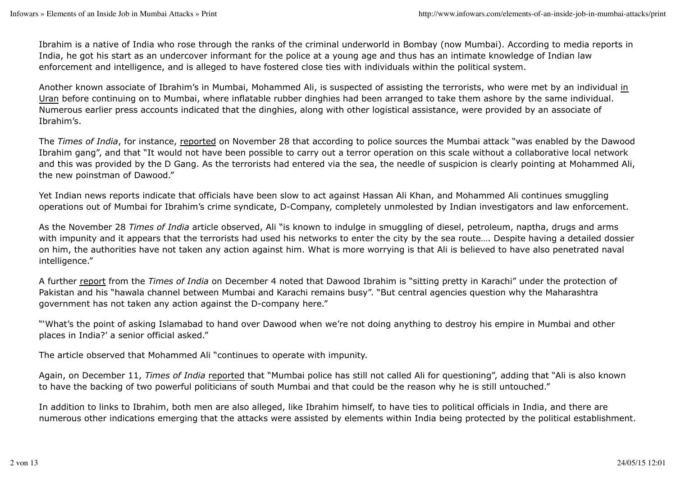Ibrahim is a native of India who rose through the ranks of the criminal underworld in Bombay (now Mumbai). According to media reports in India, he got his start as an undercover informant for the police at a young age and thus has an intimate knowledge of Indian law enforcement and intelligence, and is alleged to have fostered close ties with individuals within the political system.

Another known associate of Ibrahim's in Mumbai, Mohammed Ali, is suspected of assisting the terrorists, who were met by an individual in Uran before continuing on to Mumbai, where inflatable rubber dinghies had been arranged to take them ashore by the same individual. Numerous earlier press accounts indicated that the dinghies, along with other logistical assistance, were provided by an associate of Ibrahim's.

The *Times of India*, for instance, reported on November 28 that according to police sources the Mumbai attack "was enabled by the Dawood Ibrahim gang", and that "It would not have been possible to carry out a terror operation on this scale without a collaborative local network and this was provided by the D Gang. As the terrorists had entered via the sea, the needle of suspicion is clearly pointing at Mohammed Ali, the new poinstman of Dawood."

Yet Indian news reports indicate that officials have been slow to act against Hassan Ali Khan, and Mohammed Ali continues smuggling operations out of Mumbai for Ibrahim's crime syndicate, D-Company, completely unmolested by Indian investigators and law enforcement.

As the November 28 *Times of India* article observed, Ali "is known to indulge in smuggling of diesel, petroleum, naptha, drugs and arms with impunity and it appears that the terrorists had used his networks to enter the city by the sea route…. Despite having a detailed dossier on him, the authorities have not taken any action against him. What is more worrying is that Ali is believed to have also penetrated naval intelligence."

A further report from the *Times of India* on December 4 noted that Dawood Ibrahim is "sitting pretty in Karachi" under the protection of Pakistan and his "hawala channel between Mumbai and Karachi remains busy". "But central agencies question why the Maharashtra government has not taken any action against the D-company here."

"'What's the point of asking Islamabad to hand over Dawood when we're not doing anything to destroy his empire in Mumbai and other places in India?' a senior official asked."

The article observed that Mohammed Ali "continues to operate with impunity.

Again, on December 11, *Times of India* reported that "Mumbai police has still not called Ali for questioning", adding that "Ali is also known to have the backing of two powerful politicians of south Mumbai and that could be the reason why he is still untouched."

In addition to links to Ibrahim, both men are also alleged, like Ibrahim himself, to have ties to political officials in India, and there are numerous other indications emerging that the attacks were assisted by elements within India being protected by the political establishment.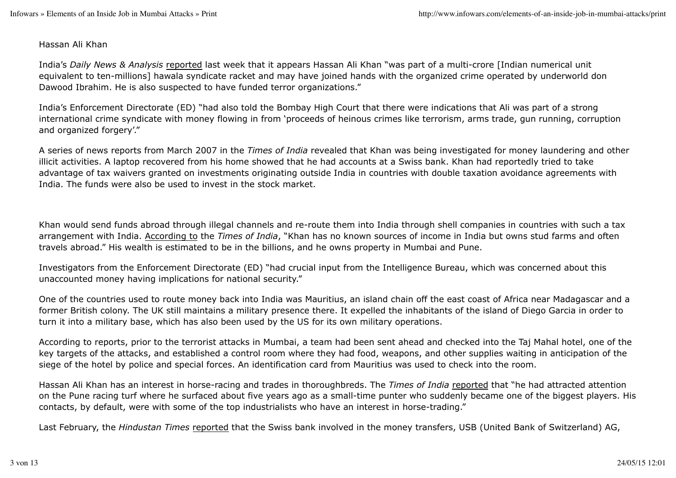#### Hassan Ali Khan

India's *Daily News & Analysis* reported last week that it appears Hassan Ali Khan "was part of a multi-crore [Indian numerical unit equivalent to ten-millions] hawala syndicate racket and may have joined hands with the organized crime operated by underworld don Dawood Ibrahim. He is also suspected to have funded terror organizations."

India's Enforcement Directorate (ED) "had also told the Bombay High Court that there were indications that Ali was part of a strong international crime syndicate with money flowing in from 'proceeds of heinous crimes like terrorism, arms trade, gun running, corruption and organized forgery'."

A series of news reports from March 2007 in the *Times of India* revealed that Khan was being investigated for money laundering and other illicit activities. A laptop recovered from his home showed that he had accounts at a Swiss bank. Khan had reportedly tried to take advantage of tax waivers granted on investments originating outside India in countries with double taxation avoidance agreements with India. The funds were also be used to invest in the stock market.

Khan would send funds abroad through illegal channels and re-route them into India through shell companies in countries with such a tax arrangement with India. According to the *Times of India*, "Khan has no known sources of income in India but owns stud farms and often travels abroad." His wealth is estimated to be in the billions, and he owns property in Mumbai and Pune.

Investigators from the Enforcement Directorate (ED) "had crucial input from the Intelligence Bureau, which was concerned about this unaccounted money having implications for national security."

One of the countries used to route money back into India was Mauritius, an island chain off the east coast of Africa near Madagascar and a former British colony. The UK still maintains a military presence there. It expelled the inhabitants of the island of Diego Garcia in order to turn it into a military base, which has also been used by the US for its own military operations.

According to reports, prior to the terrorist attacks in Mumbai, a team had been sent ahead and checked into the Taj Mahal hotel, one of the key targets of the attacks, and established a control room where they had food, weapons, and other supplies waiting in anticipation of the siege of the hotel by police and special forces. An identification card from Mauritius was used to check into the room.

Hassan Ali Khan has an interest in horse-racing and trades in thoroughbreds. The *Times of India* reported that "he had attracted attention on the Pune racing turf where he surfaced about five years ago as a small-time punter who suddenly became one of the biggest players. His contacts, by default, were with some of the top industrialists who have an interest in horse-trading."

Last February, the *Hindustan Times* reported that the Swiss bank involved in the money transfers, USB (United Bank of Switzerland) AG,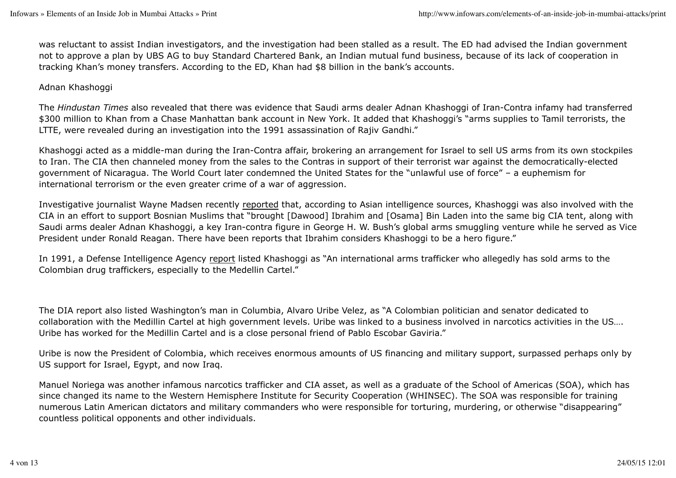was reluctant to assist Indian investigators, and the investigation had been stalled as a result. The ED had advised the Indian government not to approve a plan by UBS AG to buy Standard Chartered Bank, an Indian mutual fund business, because of its lack of cooperation in tracking Khan's money transfers. According to the ED, Khan had \$8 billion in the bank's accounts.

## Adnan Khashoggi

The *Hindustan Times* also revealed that there was evidence that Saudi arms dealer Adnan Khashoggi of Iran-Contra infamy had transferred \$300 million to Khan from a Chase Manhattan bank account in New York. It added that Khashoggi's "arms supplies to Tamil terrorists, the LTTE, were revealed during an investigation into the 1991 assassination of Rajiv Gandhi."

Khashoggi acted as a middle-man during the Iran-Contra affair, brokering an arrangement for Israel to sell US arms from its own stockpiles to Iran. The CIA then channeled money from the sales to the Contras in support of their terrorist war against the democratically-elected government of Nicaragua. The World Court later condemned the United States for the "unlawful use of force" – a euphemism for international terrorism or the even greater crime of a war of aggression.

Investigative journalist Wayne Madsen recently reported that, according to Asian intelligence sources, Khashoggi was also involved with the CIA in an effort to support Bosnian Muslims that "brought [Dawood] Ibrahim and [Osama] Bin Laden into the same big CIA tent, along with Saudi arms dealer Adnan Khashoggi, a key Iran-contra figure in George H. W. Bush's global arms smuggling venture while he served as Vice President under Ronald Reagan. There have been reports that Ibrahim considers Khashoggi to be a hero figure."

In 1991, a Defense Intelligence Agency report listed Khashoggi as "An international arms trafficker who allegedly has sold arms to the Colombian drug traffickers, especially to the Medellin Cartel."

The DIA report also listed Washington's man in Columbia, Alvaro Uribe Velez, as "A Colombian politician and senator dedicated to collaboration with the Medillin Cartel at high government levels. Uribe was linked to a business involved in narcotics activities in the US…. Uribe has worked for the Medillin Cartel and is a close personal friend of Pablo Escobar Gaviria."

Uribe is now the President of Colombia, which receives enormous amounts of US financing and military support, surpassed perhaps only by US support for Israel, Egypt, and now Iraq.

Manuel Noriega was another infamous narcotics trafficker and CIA asset, as well as a graduate of the School of Americas (SOA), which has since changed its name to the Western Hemisphere Institute for Security Cooperation (WHINSEC). The SOA was responsible for training numerous Latin American dictators and military commanders who were responsible for torturing, murdering, or otherwise "disappearing" countless political opponents and other individuals.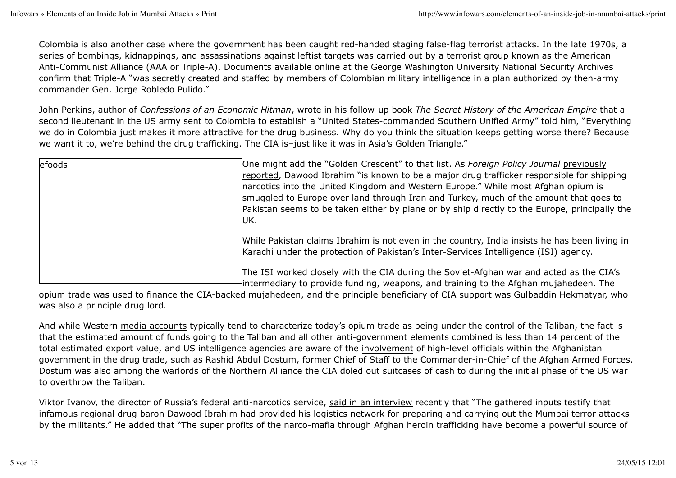Colombia is also another case where the government has been caught red-handed staging false-flag terrorist attacks. In the late 1970s, a series of bombings, kidnappings, and assassinations against leftist targets was carried out by a terrorist group known as the American Anti-Communist Alliance (AAA or Triple-A). Documents available online at the George Washington University National Security Archives confirm that Triple-A "was secretly created and staffed by members of Colombian military intelligence in a plan authorized by then-army commander Gen. Jorge Robledo Pulido."

John Perkins, author of *Confessions of an Economic Hitman*, wrote in his follow-up book *The Secret History of the American Empire* that a second lieutenant in the US army sent to Colombia to establish a "United States-commanded Southern Unified Army" told him, "Everything we do in Colombia just makes it more attractive for the drug business. Why do you think the situation keeps getting worse there? Because we want it to, we're behind the drug trafficking. The CIA is-just like it was in Asia's Golden Triangle."

| <b>efoods</b> | One might add the "Golden Crescent" to that list. As Foreign Policy Journal previously<br>reported, Dawood Ibrahim "is known to be a major drug trafficker responsible for shipping<br>narcotics into the United Kingdom and Western Europe." While most Afghan opium is<br>smuggled to Europe over land through Iran and Turkey, much of the amount that goes to<br>Pakistan seems to be taken either by plane or by ship directly to the Europe, principally the<br>IUK. |
|---------------|----------------------------------------------------------------------------------------------------------------------------------------------------------------------------------------------------------------------------------------------------------------------------------------------------------------------------------------------------------------------------------------------------------------------------------------------------------------------------|
|               | While Pakistan claims Ibrahim is not even in the country, India insists he has been living in<br>Karachi under the protection of Pakistan's Inter-Services Intelligence (ISI) agency.                                                                                                                                                                                                                                                                                      |
|               | The ISI worked closely with the CIA during the Soviet-Afghan war and acted as the CIA's<br><sup>l</sup> intermediary to provide funding, weapons, and training to the Afghan mujahedeen. The                                                                                                                                                                                                                                                                               |

opium trade was used to finance the CIA-backed mujahedeen, and the principle beneficiary of CIA support was Gulbaddin Hekmatyar, who was also a principle drug lord.

And while Western media accounts typically tend to characterize today's opium trade as being under the control of the Taliban, the fact is that the estimated amount of funds going to the Taliban and all other anti-government elements combined is less than 14 percent of the total estimated export value, and US intelligence agencies are aware of the involvement of high-level officials within the Afghanistan government in the drug trade, such as Rashid Abdul Dostum, former Chief of Staff to the Commander-in-Chief of the Afghan Armed Forces. Dostum was also among the warlords of the Northern Alliance the CIA doled out suitcases of cash to during the initial phase of the US war to overthrow the Taliban.

Viktor Ivanov, the director of Russia's federal anti-narcotics service, said in an interview recently that "The gathered inputs testify that infamous regional drug baron Dawood Ibrahim had provided his logistics network for preparing and carrying out the Mumbai terror attacks by the militants." He added that "The super profits of the narco-mafia through Afghan heroin trafficking have become a powerful source of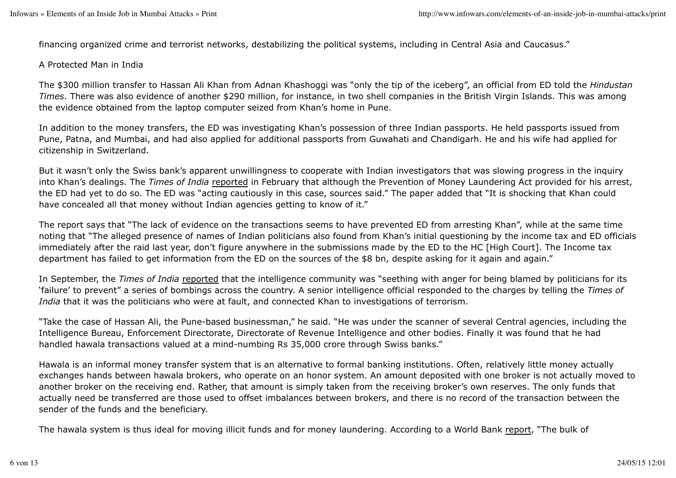financing organized crime and terrorist networks, destabilizing the political systems, including in Central Asia and Caucasus."

### A Protected Man in India

The \$300 million transfer to Hassan Ali Khan from Adnan Khashoggi was "only the tip of the iceberg", an official from ED told the *Hindustan Times*. There was also evidence of another \$290 million, for instance, in two shell companies in the British Virgin Islands. This was among the evidence obtained from the laptop computer seized from Khan's home in Pune.

In addition to the money transfers, the ED was investigating Khan's possession of three Indian passports. He held passports issued from Pune, Patna, and Mumbai, and had also applied for additional passports from Guwahati and Chandigarh. He and his wife had applied for citizenship in Switzerland.

But it wasn't only the Swiss bank's apparent unwillingness to cooperate with Indian investigators that was slowing progress in the inquiry into Khan's dealings. The *Times of India* reported in February that although the Prevention of Money Laundering Act provided for his arrest, the ED had yet to do so. The ED was "acting cautiously in this case, sources said." The paper added that "It is shocking that Khan could have concealed all that money without Indian agencies getting to know of it."

The report says that "The lack of evidence on the transactions seems to have prevented ED from arresting Khan", while at the same time noting that "The alleged presence of names of Indian politicians also found from Khan's initial questioning by the income tax and ED officials immediately after the raid last year, don't figure anywhere in the submissions made by the ED to the HC [High Court]. The Income tax department has failed to get information from the ED on the sources of the \$8 bn, despite asking for it again and again."

In September, the *Times of India* reported that the intelligence community was "seething with anger for being blamed by politicians for its 'failure' to prevent" a series of bombings across the country. A senior intelligence official responded to the charges by telling the *Times of India* that it was the politicians who were at fault, and connected Khan to investigations of terrorism.

"Take the case of Hassan Ali, the Pune-based businessman," he said. "He was under the scanner of several Central agencies, including the Intelligence Bureau, Enforcement Directorate, Directorate of Revenue Intelligence and other bodies. Finally it was found that he had handled hawala transactions valued at a mind-numbing Rs 35,000 crore through Swiss banks."

Hawala is an informal money transfer system that is an alternative to formal banking institutions. Often, relatively little money actually exchanges hands between hawala brokers, who operate on an honor system. An amount deposited with one broker is not actually moved to another broker on the receiving end. Rather, that amount is simply taken from the receiving broker's own reserves. The only funds that actually need be transferred are those used to offset imbalances between brokers, and there is no record of the transaction between the sender of the funds and the beneficiary.

The hawala system is thus ideal for moving illicit funds and for money laundering. According to a World Bank report, "The bulk of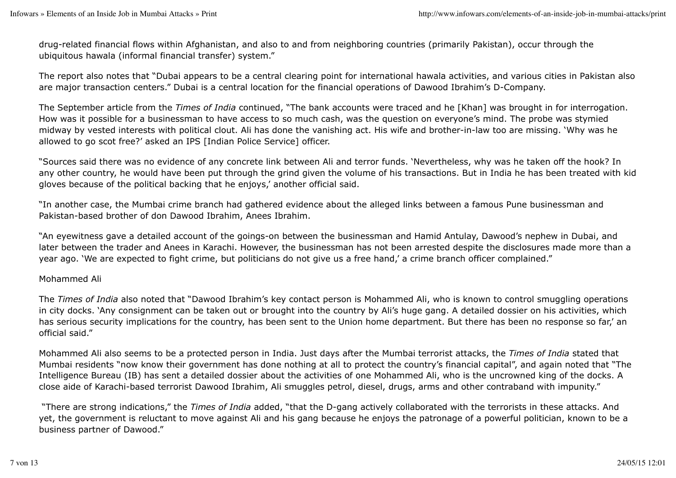drug-related financial flows within Afghanistan, and also to and from neighboring countries (primarily Pakistan), occur through the ubiquitous hawala (informal financial transfer) system."

The report also notes that "Dubai appears to be a central clearing point for international hawala activities, and various cities in Pakistan also are major transaction centers." Dubai is a central location for the financial operations of Dawood Ibrahim's D-Company.

The September article from the *Times of India* continued, "The bank accounts were traced and he [Khan] was brought in for interrogation. How was it possible for a businessman to have access to so much cash, was the question on everyone's mind. The probe was stymied midway by vested interests with political clout. Ali has done the vanishing act. His wife and brother-in-law too are missing. 'Why was he allowed to go scot free?' asked an IPS [Indian Police Service] officer.

"Sources said there was no evidence of any concrete link between Ali and terror funds. 'Nevertheless, why was he taken off the hook? In any other country, he would have been put through the grind given the volume of his transactions. But in India he has been treated with kid gloves because of the political backing that he enjoys,' another official said.

"In another case, the Mumbai crime branch had gathered evidence about the alleged links between a famous Pune businessman and Pakistan-based brother of don Dawood Ibrahim, Anees Ibrahim.

"An eyewitness gave a detailed account of the goings-on between the businessman and Hamid Antulay, Dawood's nephew in Dubai, and later between the trader and Anees in Karachi. However, the businessman has not been arrested despite the disclosures made more than a year ago. 'We are expected to fight crime, but politicians do not give us a free hand,' a crime branch officer complained."

### Mohammed Ali

The *Times of India* also noted that "Dawood Ibrahim's key contact person is Mohammed Ali, who is known to control smuggling operations in city docks. 'Any consignment can be taken out or brought into the country by Ali's huge gang. A detailed dossier on his activities, which has serious security implications for the country, has been sent to the Union home department. But there has been no response so far,' an official said."

Mohammed Ali also seems to be a protected person in India. Just days after the Mumbai terrorist attacks, the *Times of India* stated that Mumbai residents "now know their government has done nothing at all to protect the country's financial capital", and again noted that "The Intelligence Bureau (IB) has sent a detailed dossier about the activities of one Mohammed Ali, who is the uncrowned king of the docks. A close aide of Karachi-based terrorist Dawood Ibrahim, Ali smuggles petrol, diesel, drugs, arms and other contraband with impunity."

 "There are strong indications," the *Times of India* added, "that the D-gang actively collaborated with the terrorists in these attacks. And yet, the government is reluctant to move against Ali and his gang because he enjoys the patronage of a powerful politician, known to be a business partner of Dawood."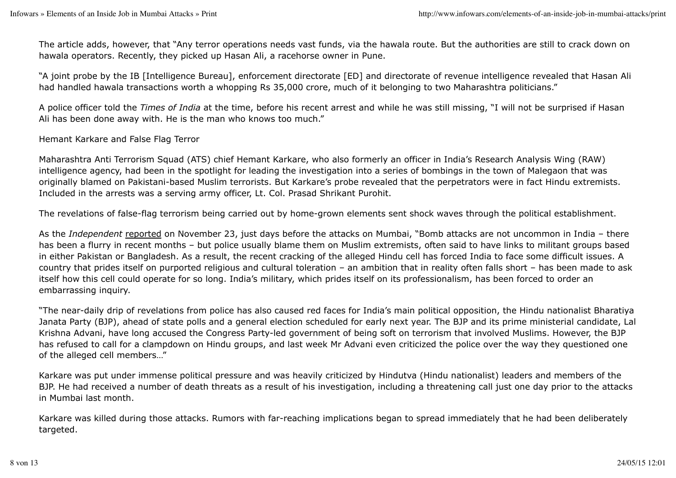The article adds, however, that "Any terror operations needs vast funds, via the hawala route. But the authorities are still to crack down on hawala operators. Recently, they picked up Hasan Ali, a racehorse owner in Pune.

"A joint probe by the IB [Intelligence Bureau], enforcement directorate [ED] and directorate of revenue intelligence revealed that Hasan Ali had handled hawala transactions worth a whopping Rs 35,000 crore, much of it belonging to two Maharashtra politicians."

A police officer told the *Times of India* at the time, before his recent arrest and while he was still missing, "I will not be surprised if Hasan Ali has been done away with. He is the man who knows too much."

Hemant Karkare and False Flag Terror

Maharashtra Anti Terrorism Squad (ATS) chief Hemant Karkare, who also formerly an officer in India's Research Analysis Wing (RAW) intelligence agency, had been in the spotlight for leading the investigation into a series of bombings in the town of Malegaon that was originally blamed on Pakistani-based Muslim terrorists. But Karkare's probe revealed that the perpetrators were in fact Hindu extremists. Included in the arrests was a serving army officer, Lt. Col. Prasad Shrikant Purohit.

The revelations of false-flag terrorism being carried out by home-grown elements sent shock waves through the political establishment.

As the *Independent* reported on November 23, just days before the attacks on Mumbai, "Bomb attacks are not uncommon in India – there has been a flurry in recent months – but police usually blame them on Muslim extremists, often said to have links to militant groups based in either Pakistan or Bangladesh. As a result, the recent cracking of the alleged Hindu cell has forced India to face some difficult issues. A country that prides itself on purported religious and cultural toleration – an ambition that in reality often falls short – has been made to ask itself how this cell could operate for so long. India's military, which prides itself on its professionalism, has been forced to order an embarrassing inquiry.

"The near-daily drip of revelations from police has also caused red faces for India's main political opposition, the Hindu nationalist Bharatiya Janata Party (BJP), ahead of state polls and a general election scheduled for early next year. The BJP and its prime ministerial candidate, Lal Krishna Advani, have long accused the Congress Party-led government of being soft on terrorism that involved Muslims. However, the BJP has refused to call for a clampdown on Hindu groups, and last week Mr Advani even criticized the police over the way they questioned one of the alleged cell members…"

Karkare was put under immense political pressure and was heavily criticized by Hindutva (Hindu nationalist) leaders and members of the BJP. He had received a number of death threats as a result of his investigation, including a threatening call just one day prior to the attacks in Mumbai last month.

Karkare was killed during those attacks. Rumors with far-reaching implications began to spread immediately that he had been deliberately targeted.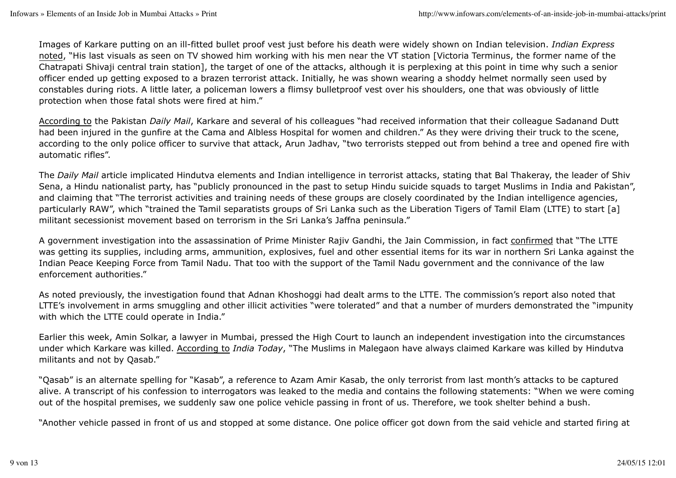Images of Karkare putting on an ill-fitted bullet proof vest just before his death were widely shown on Indian television. *Indian Express* noted, "His last visuals as seen on TV showed him working with his men near the VT station [Victoria Terminus, the former name of the Chatrapati Shivaji central train station], the target of one of the attacks, although it is perplexing at this point in time why such a senior officer ended up getting exposed to a brazen terrorist attack. Initially, he was shown wearing a shoddy helmet normally seen used by constables during riots. A little later, a policeman lowers a flimsy bulletproof vest over his shoulders, one that was obviously of little protection when those fatal shots were fired at him."

According to the Pakistan *Daily Mail*, Karkare and several of his colleagues "had received information that their colleague Sadanand Dutt had been injured in the gunfire at the Cama and Albless Hospital for women and children." As they were driving their truck to the scene, according to the only police officer to survive that attack, Arun Jadhav, "two terrorists stepped out from behind a tree and opened fire with automatic rifles".

The *Daily Mail* article implicated Hindutva elements and Indian intelligence in terrorist attacks, stating that Bal Thakeray, the leader of Shiv Sena, a Hindu nationalist party, has "publicly pronounced in the past to setup Hindu suicide squads to target Muslims in India and Pakistan", and claiming that "The terrorist activities and training needs of these groups are closely coordinated by the Indian intelligence agencies, particularly RAW", which "trained the Tamil separatists groups of Sri Lanka such as the Liberation Tigers of Tamil Elam (LTTE) to start [a] militant secessionist movement based on terrorism in the Sri Lanka's Jaffna peninsula."

A government investigation into the assassination of Prime Minister Rajiv Gandhi, the Jain Commission, in fact confirmed that "The LTTE was getting its supplies, including arms, ammunition, explosives, fuel and other essential items for its war in northern Sri Lanka against the Indian Peace Keeping Force from Tamil Nadu. That too with the support of the Tamil Nadu government and the connivance of the law enforcement authorities."

As noted previously, the investigation found that Adnan Khoshoggi had dealt arms to the LTTE. The commission's report also noted that LTTE's involvement in arms smuggling and other illicit activities "were tolerated" and that a number of murders demonstrated the "impunity with which the LTTE could operate in India."

Earlier this week, Amin Solkar, a lawyer in Mumbai, pressed the High Court to launch an independent investigation into the circumstances under which Karkare was killed. According to *India Today*, "The Muslims in Malegaon have always claimed Karkare was killed by Hindutva militants and not by Qasab."

"Qasab" is an alternate spelling for "Kasab", a reference to Azam Amir Kasab, the only terrorist from last month's attacks to be captured alive. A transcript of his confession to interrogators was leaked to the media and contains the following statements: "When we were coming out of the hospital premises, we suddenly saw one police vehicle passing in front of us. Therefore, we took shelter behind a bush.

"Another vehicle passed in front of us and stopped at some distance. One police officer got down from the said vehicle and started firing at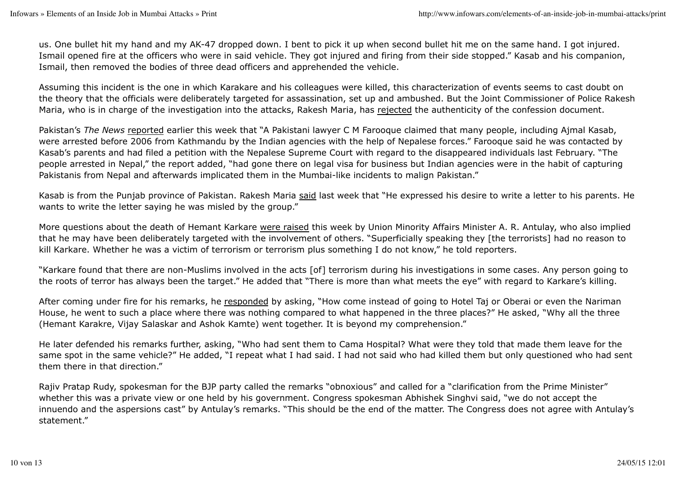us. One bullet hit my hand and my AK-47 dropped down. I bent to pick it up when second bullet hit me on the same hand. I got injured. Ismail opened fire at the officers who were in said vehicle. They got injured and firing from their side stopped." Kasab and his companion, Ismail, then removed the bodies of three dead officers and apprehended the vehicle.

Assuming this incident is the one in which Karakare and his colleagues were killed, this characterization of events seems to cast doubt on the theory that the officials were deliberately targeted for assassination, set up and ambushed. But the Joint Commissioner of Police Rakesh Maria, who is in charge of the investigation into the attacks, Rakesh Maria, has rejected the authenticity of the confession document.

Pakistan's *The News* reported earlier this week that "A Pakistani lawyer C M Farooque claimed that many people, including Ajmal Kasab, were arrested before 2006 from Kathmandu by the Indian agencies with the help of Nepalese forces." Farooque said he was contacted by Kasab's parents and had filed a petition with the Nepalese Supreme Court with regard to the disappeared individuals last February. "The people arrested in Nepal," the report added, "had gone there on legal visa for business but Indian agencies were in the habit of capturing Pakistanis from Nepal and afterwards implicated them in the Mumbai-like incidents to malign Pakistan."

Kasab is from the Punjab province of Pakistan. Rakesh Maria said last week that "He expressed his desire to write a letter to his parents. He wants to write the letter saying he was misled by the group."

More questions about the death of Hemant Karkare were raised this week by Union Minority Affairs Minister A. R. Antulay, who also implied that he may have been deliberately targeted with the involvement of others. "Superficially speaking they [the terrorists] had no reason to kill Karkare. Whether he was a victim of terrorism or terrorism plus something I do not know," he told reporters.

"Karkare found that there are non-Muslims involved in the acts [of] terrorism during his investigations in some cases. Any person going to the roots of terror has always been the target." He added that "There is more than what meets the eye" with regard to Karkare's killing.

After coming under fire for his remarks, he responded by asking, "How come instead of going to Hotel Taj or Oberai or even the Nariman House, he went to such a place where there was nothing compared to what happened in the three places?" He asked, "Why all the three (Hemant Karakre, Vijay Salaskar and Ashok Kamte) went together. It is beyond my comprehension."

He later defended his remarks further, asking, "Who had sent them to Cama Hospital? What were they told that made them leave for the same spot in the same vehicle?" He added, "I repeat what I had said. I had not said who had killed them but only questioned who had sent them there in that direction."

Rajiv Pratap Rudy, spokesman for the BJP party called the remarks "obnoxious" and called for a "clarification from the Prime Minister" whether this was a private view or one held by his government. Congress spokesman Abhishek Singhvi said, "we do not accept the innuendo and the aspersions cast" by Antulay's remarks. "This should be the end of the matter. The Congress does not agree with Antulay's statement."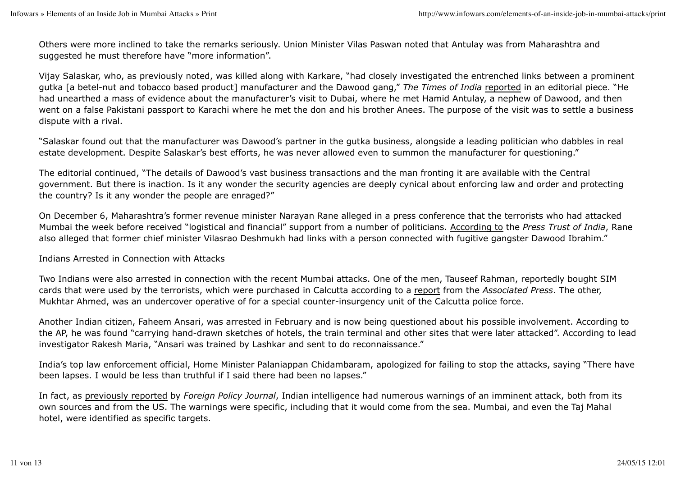Others were more inclined to take the remarks seriously. Union Minister Vilas Paswan noted that Antulay was from Maharashtra and suggested he must therefore have "more information".

Vijay Salaskar, who, as previously noted, was killed along with Karkare, "had closely investigated the entrenched links between a prominent gutka [a betel-nut and tobacco based product] manufacturer and the Dawood gang," *The Times of India* reported in an editorial piece. "He had unearthed a mass of evidence about the manufacturer's visit to Dubai, where he met Hamid Antulay, a nephew of Dawood, and then went on a false Pakistani passport to Karachi where he met the don and his brother Anees. The purpose of the visit was to settle a business dispute with a rival.

"Salaskar found out that the manufacturer was Dawood's partner in the gutka business, alongside a leading politician who dabbles in real estate development. Despite Salaskar's best efforts, he was never allowed even to summon the manufacturer for questioning."

The editorial continued, "The details of Dawood's vast business transactions and the man fronting it are available with the Central government. But there is inaction. Is it any wonder the security agencies are deeply cynical about enforcing law and order and protecting the country? Is it any wonder the people are enraged?"

On December 6, Maharashtra's former revenue minister Narayan Rane alleged in a press conference that the terrorists who had attacked Mumbai the week before received "logistical and financial" support from a number of politicians. According to the *Press Trust of India*, Rane also alleged that former chief minister Vilasrao Deshmukh had links with a person connected with fugitive gangster Dawood Ibrahim."

Indians Arrested in Connection with Attacks

Two Indians were also arrested in connection with the recent Mumbai attacks. One of the men, Tauseef Rahman, reportedly bought SIM cards that were used by the terrorists, which were purchased in Calcutta according to a report from the *Associated Press*. The other, Mukhtar Ahmed, was an undercover operative of for a special counter-insurgency unit of the Calcutta police force.

Another Indian citizen, Faheem Ansari, was arrested in February and is now being questioned about his possible involvement. According to the AP, he was found "carrying hand-drawn sketches of hotels, the train terminal and other sites that were later attacked". According to lead investigator Rakesh Maria, "Ansari was trained by Lashkar and sent to do reconnaissance."

India's top law enforcement official, Home Minister Palaniappan Chidambaram, apologized for failing to stop the attacks, saying "There have been lapses. I would be less than truthful if I said there had been no lapses."

In fact, as previously reported by *Foreign Policy Journal*, Indian intelligence had numerous warnings of an imminent attack, both from its own sources and from the US. The warnings were specific, including that it would come from the sea. Mumbai, and even the Taj Mahal hotel, were identified as specific targets.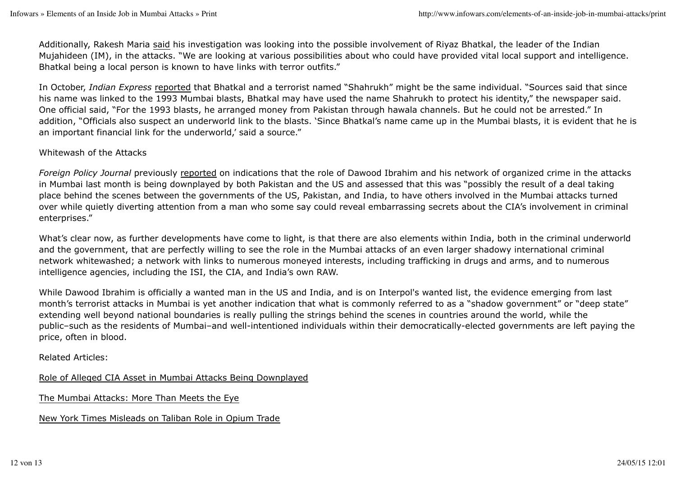Additionally, Rakesh Maria said his investigation was looking into the possible involvement of Riyaz Bhatkal, the leader of the Indian Mujahideen (IM), in the attacks. "We are looking at various possibilities about who could have provided vital local support and intelligence. Bhatkal being a local person is known to have links with terror outfits."

In October, *Indian Express* reported that Bhatkal and a terrorist named "Shahrukh" might be the same individual. "Sources said that since his name was linked to the 1993 Mumbai blasts, Bhatkal may have used the name Shahrukh to protect his identity," the newspaper said. One official said, "For the 1993 blasts, he arranged money from Pakistan through hawala channels. But he could not be arrested." In addition, "Officials also suspect an underworld link to the blasts. 'Since Bhatkal's name came up in the Mumbai blasts, it is evident that he is an important financial link for the underworld,' said a source."

## Whitewash of the Attacks

*Foreign Policy Journal* previously reported on indications that the role of Dawood Ibrahim and his network of organized crime in the attacks in Mumbai last month is being downplayed by both Pakistan and the US and assessed that this was "possibly the result of a deal taking place behind the scenes between the governments of the US, Pakistan, and India, to have others involved in the Mumbai attacks turned over while quietly diverting attention from a man who some say could reveal embarrassing secrets about the CIA's involvement in criminal enterprises."

What's clear now, as further developments have come to light, is that there are also elements within India, both in the criminal underworld and the government, that are perfectly willing to see the role in the Mumbai attacks of an even larger shadowy international criminal network whitewashed; a network with links to numerous moneyed interests, including trafficking in drugs and arms, and to numerous intelligence agencies, including the ISI, the CIA, and India's own RAW.

While Dawood Ibrahim is officially a wanted man in the US and India, and is on Interpol's wanted list, the evidence emerging from last month's terrorist attacks in Mumbai is yet another indication that what is commonly referred to as a "shadow government" or "deep state" extending well beyond national boundaries is really pulling the strings behind the scenes in countries around the world, while the public–such as the residents of Mumbai–and well-intentioned individuals within their democratically-elected governments are left paying the price, often in blood.

Related Articles:

Role of Alleged CIA Asset in Mumbai Attacks Being Downplayed

The Mumbai Attacks: More Than Meets the Eye

New York Times Misleads on Taliban Role in Opium Trade